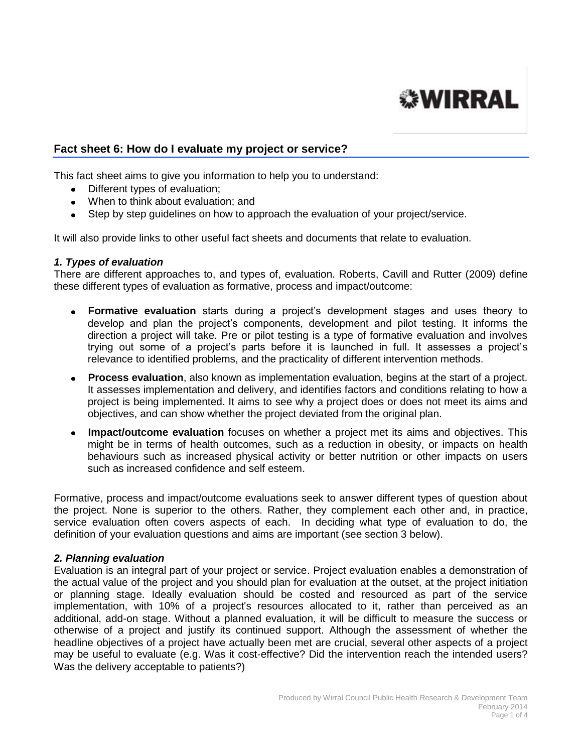

# **Fact sheet 6: How do I evaluate my project or service?**

This fact sheet aims to give you information to help you to understand:

- Different types of evaluation;
- When to think about evaluation; and
- Step by step guidelines on how to approach the evaluation of your project/service.

It will also provide links to other useful fact sheets and documents that relate to evaluation.

#### *1. Types of evaluation*

There are different approaches to, and types of, evaluation. Roberts, Cavill and Rutter (2009) define these different types of evaluation as formative, process and impact/outcome:

- **Formative evaluation** starts during a project's development stages and uses theory to develop and plan the project's components, development and pilot testing. It informs the direction a project will take. Pre or pilot testing is a type of formative evaluation and involves trying out some of a project's parts before it is launched in full. It assesses a project's relevance to identified problems, and the practicality of different intervention methods.
- **Process evaluation**, also known as implementation evaluation, begins at the start of a project.  $\bullet$ It assesses implementation and delivery, and identifies factors and conditions relating to how a project is being implemented. It aims to see why a project does or does not meet its aims and objectives, and can show whether the project deviated from the original plan.
- **Impact/outcome evaluation** focuses on whether a project met its aims and objectives. This might be in terms of health outcomes, such as a reduction in obesity, or impacts on health behaviours such as increased physical activity or better nutrition or other impacts on users such as increased confidence and self esteem.

Formative, process and impact/outcome evaluations seek to answer different types of question about the project. None is superior to the others. Rather, they complement each other and, in practice, service evaluation often covers aspects of each. In deciding what type of evaluation to do, the definition of your evaluation questions and aims are important (see section 3 below).

#### *2. Planning evaluation*

Evaluation is an integral part of your project or service. Project evaluation enables a demonstration of the actual value of the project and you should plan for evaluation at the outset, at the project initiation or planning stage. Ideally evaluation should be costed and resourced as part of the service implementation, with 10% of a project's resources allocated to it, rather than perceived as an additional, add-on stage. Without a planned evaluation, it will be difficult to measure the success or otherwise of a project and justify its continued support. Although the assessment of whether the headline objectives of a project have actually been met are crucial, several other aspects of a project may be useful to evaluate (e.g. Was it cost-effective? Did the intervention reach the intended users? Was the delivery acceptable to patients?)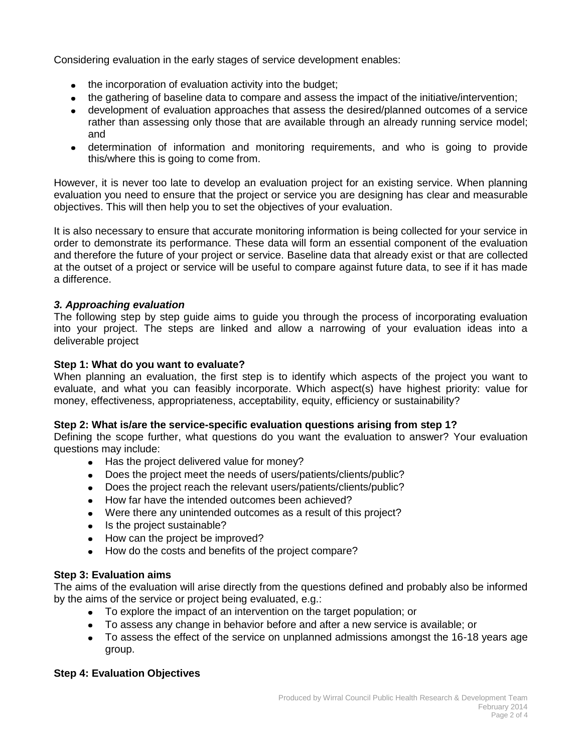Considering evaluation in the early stages of service development enables:

- the incorporation of evaluation activity into the budget;
- the gathering of baseline data to compare and assess the impact of the initiative/intervention;
- development of evaluation approaches that assess the desired/planned outcomes of a service rather than assessing only those that are available through an already running service model; and
- determination of information and monitoring requirements, and who is going to provide  $\bullet$ this/where this is going to come from.

However, it is never too late to develop an evaluation project for an existing service. When planning evaluation you need to ensure that the project or service you are designing has clear and measurable objectives. This will then help you to set the objectives of your evaluation.

It is also necessary to ensure that accurate monitoring information is being collected for your service in order to demonstrate its performance. These data will form an essential component of the evaluation and therefore the future of your project or service. Baseline data that already exist or that are collected at the outset of a project or service will be useful to compare against future data, to see if it has made a difference.

## *3. Approaching evaluation*

The following step by step guide aims to guide you through the process of incorporating evaluation into your project. The steps are linked and allow a narrowing of your evaluation ideas into a deliverable project

## **Step 1: What do you want to evaluate?**

When planning an evaluation, the first step is to identify which aspects of the project you want to evaluate, and what you can feasibly incorporate. Which aspect(s) have highest priority: value for money, effectiveness, appropriateness, acceptability, equity, efficiency or sustainability?

## **Step 2: What is/are the service-specific evaluation questions arising from step 1?**

Defining the scope further, what questions do you want the evaluation to answer? Your evaluation questions may include:

- Has the project delivered value for money?
- Does the project meet the needs of users/patients/clients/public?
- Does the project reach the relevant users/patients/clients/public?
- How far have the intended outcomes been achieved?
- Were there any unintended outcomes as a result of this project?
- Is the project sustainable?
- How can the project be improved?
- How do the costs and benefits of the project compare?

## **Step 3: Evaluation aims**

The aims of the evaluation will arise directly from the questions defined and probably also be informed by the aims of the service or project being evaluated, e.g.:

- To explore the impact of an intervention on the target population; or
- To assess any change in behavior before and after a new service is available; or
- To assess the effect of the service on unplanned admissions amongst the 16-18 years age group.

## **Step 4: Evaluation Objectives**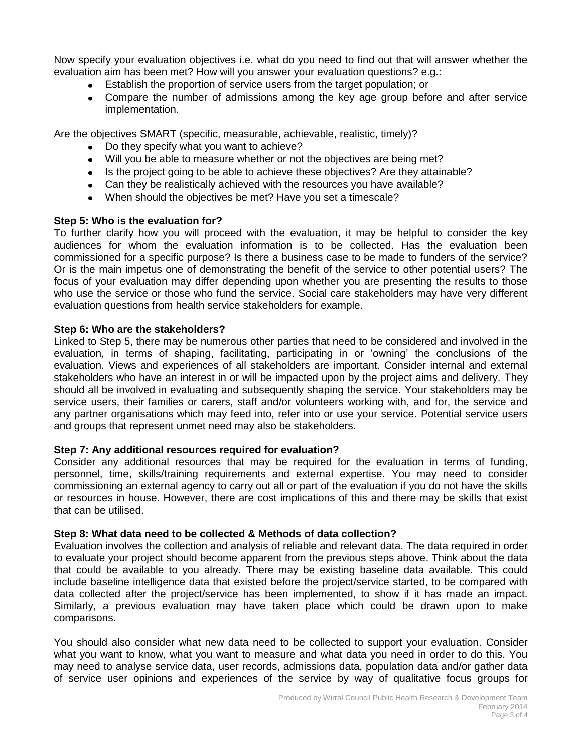Now specify your evaluation objectives i.e. what do you need to find out that will answer whether the evaluation aim has been met? How will you answer your evaluation questions? e.g.:

- Establish the proportion of service users from the target population; or
- Compare the number of admissions among the key age group before and after service implementation.

Are the objectives SMART (specific, measurable, achievable, realistic, timely)?

- Do they specify what you want to achieve?
- Will you be able to measure whether or not the objectives are being met?
- Is the project going to be able to achieve these objectives? Are they attainable?
- Can they be realistically achieved with the resources you have available?
- When should the objectives be met? Have you set a timescale?

#### **Step 5: Who is the evaluation for?**

To further clarify how you will proceed with the evaluation, it may be helpful to consider the key audiences for whom the evaluation information is to be collected. Has the evaluation been commissioned for a specific purpose? Is there a business case to be made to funders of the service? Or is the main impetus one of demonstrating the benefit of the service to other potential users? The focus of your evaluation may differ depending upon whether you are presenting the results to those who use the service or those who fund the service. Social care stakeholders may have very different evaluation questions from health service stakeholders for example.

#### **Step 6: Who are the stakeholders?**

Linked to Step 5, there may be numerous other parties that need to be considered and involved in the evaluation, in terms of shaping, facilitating, participating in or 'owning' the conclusions of the evaluation. Views and experiences of all stakeholders are important. Consider internal and external stakeholders who have an interest in or will be impacted upon by the project aims and delivery. They should all be involved in evaluating and subsequently shaping the service. Your stakeholders may be service users, their families or carers, staff and/or volunteers working with, and for, the service and any partner organisations which may feed into, refer into or use your service. Potential service users and groups that represent unmet need may also be stakeholders.

## **Step 7: Any additional resources required for evaluation?**

Consider any additional resources that may be required for the evaluation in terms of funding, personnel, time, skills/training requirements and external expertise. You may need to consider commissioning an external agency to carry out all or part of the evaluation if you do not have the skills or resources in house. However, there are cost implications of this and there may be skills that exist that can be utilised.

## **Step 8: What data need to be collected & Methods of data collection?**

Evaluation involves the collection and analysis of reliable and relevant data. The data required in order to evaluate your project should become apparent from the previous steps above. Think about the data that could be available to you already. There may be existing baseline data available. This could include baseline intelligence data that existed before the project/service started, to be compared with data collected after the project/service has been implemented, to show if it has made an impact. Similarly, a previous evaluation may have taken place which could be drawn upon to make comparisons.

You should also consider what new data need to be collected to support your evaluation. Consider what you want to know, what you want to measure and what data you need in order to do this. You may need to analyse service data, user records, admissions data, population data and/or gather data of service user opinions and experiences of the service by way of qualitative focus groups for